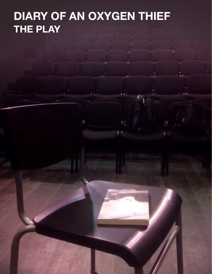# **DIARY OF AN OXYGEN THIEF THE PLAY**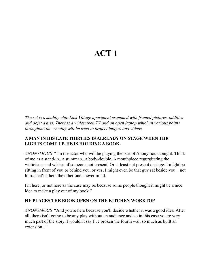# **ACT 1**

*The set is a shabby-chic East Village apartment crammed with framed pictures, oddities and objet d'arts. There is a widescreen TV and an open laptop which at various points throughout the evening will be used to project images and videos.* 

# **A MAN IN HIS LATE THIRTIES IS ALREADY ON STAGE WHEN THE LIGHTS COME UP. HE IS HOLDING A BOOK.**

*ANONYMOUS* "I'm the actor who will be playing the part of Anonymous tonight. Think of me as a stand-in...a stuntman...a body-double. A mouthpiece regurgitating the witticisms and wishes of someone not present. Or at least not present onstage. I might be sitting in front of you or behind you, or yes, I might even be that guy sat beside you... not him...that's a her...the other one...never mind.

I'm here, or not here as the case may be because some people thought it might be a nice idea to make a play out of my book."

# **HE PLACES THE BOOK OPEN ON THE KITCHEN WORKTOP**

*ANONYMOUS* "And you're here because you'll decide whether it was a good idea. After all, there isn't going to be any play without an audience and so in this case you're very much part of the story. I wouldn't say I've broken the fourth wall so much as built an extension..."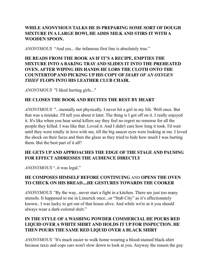# **WHILE ANONYMOUS TALKS HE IS PREPARING SOME SORT OF DOUGH MIXTURE IN A LARGE BOWl, HE ADDS MILK AND STIRS IT WITH A WOODEN SPOON.**

*ANONYMOUS* "And yes... the infamous first line is absolutely true."

# **HE READS FROM THE BOOK AS IF IT'S A RECIPE, EMPTIES THE MIXTURE INTO A BAKING TRAY AND SLIDES IT INTO THE PREHEATED OVEN. AFTER WIPING HIS HANDS HE LOBS THE CLOTH ONTO THE COUNTERTOP AND PICKING UP HIS COPY OF** *DIARY OF AN OXYGEN THIEF* **FLOPS INTO HIS LEATHER CLUB CHAIR.**

*ANONYMOUS* "I liked hurting girls..."

# **HE CLOSES THE BOOK AND RECITES THE REST BY HEART**

*ANONYMOUS* "...mentally not physically. I never hit a girl in my life. Well once. But that was a mistake. I'll tell you about it later. The thing is I got off on it. I really enjoyed it. It's like when you hear serial killers say they feel no regret no remorse for all the people they killed. I was like that. Loved it. And I didn't care how long it took. I'd wait until they were totally in love with me, till the big saucer eyes were looking at me. I loved the shock on their faces and then the glaze as they tried to hide how much I was hurting them. But the best part of it all?

# **HE GETS UP AND APPROACHES THE EDGE OF THE STAGE AND PAUSING FOR EFFECT ADDRESSES THE AUDIENCE DIRECTLY**

*ANONYMOUS* "..it was legal."

# **HE COMPOSES HIMSELF BEFORE CONTINUING** AND **OPENS THE OVEN TO CHECK ON HIS BREAD....HE GESTURES TOWARDS THE COOKER**

*ANONYMOUS "*By the way...never start a fight in a kitchen. There are just too many utensils. It happened to me in Limerick once...or "Stab City" as it's affectionately known.. I was lucky to get out of that house alive. And while we're at it you should always wear a dark-colored shirt."

# **IN THE STYLE OF A WASHING POWDER COMMERCIAL HE POURS RED LIQUID OVER A WHITE SHIRT AND HOLDS IT UP FOR INSPECTION. HE THEN POURS THE SAME RED LIQUID OVER A BLACK SHIRT**

*ANONYMOUS "*It's much easier to walk home wearing a blood-stained black-shirt because taxis and cops cars won't slow down to look at you. Anyway the reason the guy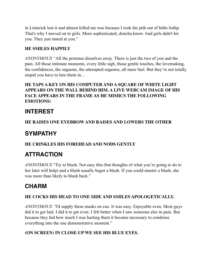in Limerick lost it and almost killed me was because I took the pith out of hiths listhp. That's why I moved on to girls. More sophisticated, doncha know. And girls didn't hit you. They just stared at you."

# **HE SMILES HAPPILY**

*ANONYMOUS "*All the pretense dissolves away. There is just the two of you and the pain. All those intimate moments, every little sigh, those gentle touches, the lovemaking, the confidences, the orgasms, the attempted orgasms, all mere fuel. But they're not totally stupid you have to lure them in...

# **HE TAPS A KEY ON HIS COMPUTER AND A SQUARE OF WHITE LIGHT APPEARS ON THE WALL BEHIND HIM. A LIVE WEBCAM IMAGE OF HIS FACE APPEARS IN THE FRAME AS HE MIMICS THE FOLLOWING EMOTIONS:**

# **INTEREST**

# **HE RAISES ONE EYEBROW AND RAISES AND LOWERS THE OTHER**

# **SYMPATHY**

# **HE CRINKLES HIS FOREHEAD AND NODS GENTLY**

# **ATTRACTION**

*ANONYMOUS* "Try to blush. Not easy this (but thoughts of what you're going to do to her later will help) and a blush usually begot a blush. If you could muster a blush, she was more than likely to blush back."

# **CHARM**

# **HE COCKS HIS HEAD TO ONE SIDE AND SMILES APOLOGETICALLY.**

*ANONYMOUS "*I'd supply these masks on cue. It was easy. Enjoyable even. Most guys did it to get laid. I did it to get even. I felt better when I saw someone else in pain. But because they hid how much I was hurting them it became necessary to condense everything into the one demonstrative moment."

# **(ON SCREEN) IN CLOSE-UP WE SEE HIS BLUE EYES.**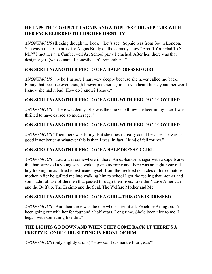# **HE TAPS THE COMPUTER AGAIN AND A TOPLESS GIRL APPEARS WITH HER FACE BLURRED TO HIDE HER IDENTITY**

*ANONYMOUS* (flicking though the book) "Let's see...Sophie was from South London. She was a make-up artist for Angus Brady on the comedy show "Aren't You Glad To See Me?" I met her at a Camberwell Art School party I crashed. After her, there was that designer girl (whose name I honestly can't remember... "

# **(ON SCREEN) ANOTHER PHOTO OF A HALF-DRESSED GIRL**

*ANONYMOUS"*...who I'm sure I hurt very deeply because she never called me back. Funny that because even though I never met her again or even heard her say another word I knew she had it bad. How do I know? I know."

# **(ON SCREEN) ANOTHER PHOTO OF A GIRL WITH HER FACE COVERED**

*ANONYMOUS "*There was Jenny. She was the one who threw the beer in my face. I was thrilled to have caused so much rage."

# **(ON SCREEN) ANOTHER PHOTO OF A GIRL WITH HER FACE COVERED**

*ANONYMOUS* "Then there was Emily. But she doesn't really count because she was as good if not better at whatever this is than I was. In fact, I kind of fell for her."

#### **(ON SCREEN) ANOTHER PHOTO OF A HALF DRESSED GIRL**

*ANONYMOUS "*Laura was somewhere in there. An ex-band-manager with a superb arse that had survived a young son. I woke up one morning and there was an eight-year-old boy looking on as I tried to extricate myself from the freckled tentacles of his comatose mother. After he guilted me into walking him to school I got the feeling that mother and son made full use of the men that passed through their lives. Like the Native American and the Buffalo, The Eskimo and the Seal, The Welfare Mother and Me."

#### **(ON SCREEN) ANOTHER PHOTO OF A GIRL...THIS ONE IS DRESSED**

*ANONYMOUS "*And then there was the one who started it all. Penelope Arlington. I'd been going out with her for four and a half years. Long time. She'd been nice to me. I began with something like this."

# **THE LIGHTS GO DOWN AND WHEN THEY COME BACK UP THERE'S A PRETTY BLONDE GIRL SITTING IN FRONT OF HIM**

*ANONYMOUS* (only slightly drunk) "How can I dismantle four years?"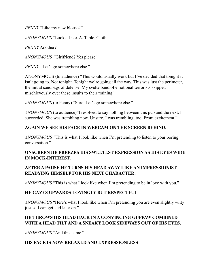*PENNY* "Like my new blouse?"

*ANONYMOUS* "Looks. Like. A. Table. Cloth.

*PENNY* Another?

*ANONYMOUS "*Girlfriend? Yes please."

*PENNY "*Let's go somewhere else."

ANONYMOUS (to audience) "This would usually work but I've decided that tonight it isn't going to. Not tonight. Tonight we're going all the way. This was just the perimeter, the initial sandbags of defense. My svelte band of emotional terrorists skipped mischievously over these insults to their training."

*ANONYMOUS* (to Penny) "Sure. Let's go somewhere else."

*ANONYMOUS* (to audience)"I resolved to say nothing between this pub and the next. I succeeded. She was trembling now. Unsure. I was trembling, too. From excitement."

#### **AGAIN WE SEE HIS FACE IN WEBCAM ON THE SCREEN BEHIND.**

*ANONYMOUS "*This is what I look like when I'm pretending to listen to your boring conversation."

# **ONSCREEN HE FREEZES HIS SWEETEST EXPRESSION AS HIS EYES WIDE IN MOCK-INTEREST.**

# **AFTER A PAUSE HE TURNS HIS HEAD AWAY LIKE AN IMPRESSIONIST READYING HIMSELF FOR HIS NEXT CHARACTER.**

*ANONYMOUS* "This is what I look like when I'm pretending to be in love with you."

#### **HE GAZES UPWARDS LOVINGLY BUT RESPECTFUL**

*ANONYMOUS* "Here's what I look like when I'm pretending you are even slightly witty just so I can get laid later on."

# **HE THROWS HIS HEAD BACK IN A CONVINCING GUFFAW COMBINED WITH A HEAD TILT AND A SNEAKY LOOK SIDEWAYS OUT OF HIS EYES.**

*ANONYMOUS* "And this is me."

#### **HIS FACE IS NOW RELAXED AND EXPRESSIONLESS**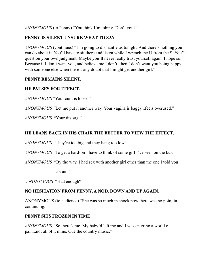*ANONYMOUS* (to Penny) "You think I'm joking. Don't you?"

# **PENNY IS SILENT UNSURE WHAT TO SAY**

*ANONYMOUS* (continues) "I'm going to dismantle us tonight. And there's nothing you can do about it. You'll have to sit there and listen while I wrench the U from the S. You'll question your own judgment. Maybe you'll never really trust yourself again. I hope so. Because if I don't want you, and believe me I don't, then I don't want you being happy with someone else when there's any doubt that I might get another girl."

#### **PENNY REMAINS SILENT.**

# **HE PAUSES FOR EFFECT.**

*ANONYMOUS* "Your cunt is loose."

*ANONYMOUS "*Let me put it another way. Your vagina is baggy...feels overused."

*ANONYMOUS* "Your tits sag."

# **HE LEANS BACK IN HIS CHAIR THE BETTER TO VIEW THE EFFECT.**

*ANONYMOUS "*They're too big and they hang too low."

*ANONYMOUS "*To get a hard-on I have to think of some girl I've seen on the bus."

*ANONYMOUS* "By the way, I had sex with another girl other than the one I told you

about."

*ANONYMOUS* "Had enough?"

# **NO HESITATION FROM PENNY. A NOD. DOWN AND UP AGAIN.**

ANONYMOUS (to audience) "She was so much in shock now there was no point in continuing."

#### **PENNY SITS FROZEN IN TIME**

*ANONYMOUS "*So there's me. My baby'd left me and I was entering a world of pain...not all of it mine. Cue the country music."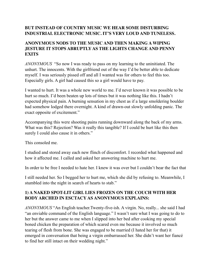# **BUT INSTEAD OF COUNTRY MUSIC WE HEAR SOME DISTURBING INDUSTRIAL ELECTRONIC MUSIC. IT'S VERY LOUD AND TUNELESS.**

# **ANONYMOUS NODS TO THE MUSIC AND THEN MAKING A WIPING JESTURE IT STOPS ABRUPTLY AS THE LIGHTS CHANGE AND PENNY EXITS**

*ANONYMOUS* "So now I was ready to pass on my learning to the uninitiated. The unhurt. The innocents. With the girlfriend out of the way I'd be better able to dedicate myself. I was seriously pissed off and all I wanted was for others to feel this too. Especially girls. A girl had caused this so a girl would have to pay.

I wanted to hurt. It was a whole new world to me. I'd never known it was possible to be hurt so much. I'd been beaten up lots of times but it was nothing like this. I hadn't expected physical pain. A burning sensation in my chest as if a large smoldering boulder had somehow lodged there overnight. A kind of drawn-out slowly unfolding panic. The exact opposite of excitement."

Accompanying this were shooting pains running downward along the back of my arms. What was this? Rejection? Was it really this tangible? If I could be hurt like this then surely I could also cause it in others."

This consoled me.

I studied and stored away each new flinch of discomfort. I recorded what happened and how it affected me. I called and asked her answering machine to hurt me.

In order to be free I needed to hate her. I knew it was over but I couldn't bear the fact that

I still needed her. So I begged her to hurt me, which she did by refusing to. Meanwhile, I stumbled into the night in search of hearts to stab."

# **1) A NAKED SPOT-LIT GIRL LIES FROZEN ON THE COUCH WITH HER BODY ARCHED IN ESCTACY AS ANONYMOUS EXPLAINS:**

*ANONYMOUS* "An English teacher.Twenty-five-ish. A virgin. No, really... she said I had "an enviable command of the English language." I wasn't sure what I was going to do to her but the answer came to me when I slipped into her bed after cooking my special boned chicken the preparation of which scared even me because it involved so much tearing of flesh from bone. She was engaged to be married (I hated her for that) it emerged in conversation that being a virgin embarrassed her. She didn't want her fiancé to find her still intact on their wedding night."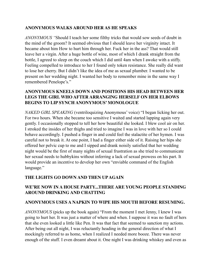#### **ANONYMOUS WALKS AROUND HER AS HE SPEAKS**

*ANONYMOUS "*Should I teach her some filthy tricks that would sow seeds of doubt in the mind of the groom? It seemed obvious that I should leave her virginity intact. It became about him How to hurt him through her. Fuck her in the ass? That would still leave her a virgin. After a huge bottle of wine, most of which I drank straight from the bottle, I agreed to sleep on the couch which I did until 4am when I awoke with a stiffy. Feeling compelled to introduce to her I found only token resistance. She really did want to lose her cherry. But I didn't like the idea of me as sexual plumber. I wanted to be present on her wedding night. I wanted her body to remember mine in the same way I remembered Penelope's."

#### **ANONYMOUS KNEELS DOWN AND POSITIONS HIS HEAD BETWEEN HER LEGS THE GIRL WHO AFTER ARRANGING HERSELF ON HER ELBOWS BEGINS TO LIP SYNCH ANONYMOUS' MONOLOGUE**

*NAKED GIRL SPEAKING* (ventriloquizing Anonymous' voice) "I began licking her out. For two hours. When she became too sensitive I waited and started lapping again very gently. I occasionally stopped to tell her how beautiful she looked. I blew cool air on her. I stroked the insides of her thighs and tried to imagine I was in love with her so I could behave accordingly. I pushed a finger in and could feel the stalactite of her hymen. I was careful not to break it. At one point, I had a finger either side of it. Raising her hips she offered her pelvic cup to me and I sipped and drank noisily satisfied that her wedding night would be the first of many nights of sexual frustration as she tried to communicate her sexual needs to hubbykins without inferring a lack of sexual prowess on his part. It would provide an incentive to develop her own "enviable command of the English language."

#### **THE LIGHTS GO DOWN AND THEN UP AGAIN**

#### **WE'RE NOW IN A HOUSE PARTY...THERE ARE YOUNG PEOPLE STANDING AROUND DRINKING AND CHATTING**

#### **ANONYMOUS USES A NAPKIN TO WIPE HIS MOUTH BEFORE RESUMING.**

*ANONYMOUS* (picks up the book again) "From the moment I met Jenny, I knew I was going to hurt her. It was just a matter of where and when. I suppose it was no fault of hers that she even looked a little like Pen. It was that fact that seemed to sanction my actions. After being out all night, I was reluctantly heading in the general direction of what I mockingly referred to as home, when I realized I needed more booze. There was never enough of the stuff. I even dreamt about it. One night I was drinking whiskey and even as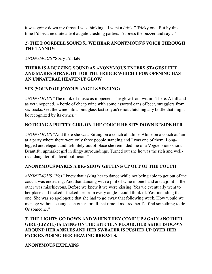it was going down my throat I was thinking, "I want a drink." Tricky one. But by this time I'd became quite adept at gate-crashing parties. I'd press the buzzer and say…"

#### **2) THE DOORBELL SOUNDS...WE HEAR ANONYMOUS'S VOICE THROUGH THE TANNOY:**

*ANONYMOUS* "Sorry I'm late."

#### **THERE IS A BUZZING SOUND AS ANONYMOUS ENTERS STAGES LEFT AND MAKES STRAIGHT FOR THE FRIDGE WHICH UPON OPENING HAS AN UNNATURAL HEAVENLY GLOW**

# **SFX (SOUND OF JOYOUS ANGELS SINGING)**

*ANONYMOUS* "The clink of music as it opened. The glow from within. There. A full and as yet unopened. A bottle of cheap wine with some assorted cans of beer, stragglers from six-packs. Get the wine into a pint glass fast so you're not clutching any bottle that might be recognized by its owner. "

# **NOTICING A PRETTY GIRL ON THE COUCH HE SITS DOWN BESIDE HER**

*ANONYMOUS* "And there she was. Sitting on a couch all alone. Alone on a couch at 4am at a party where there were only three people standing and I was one of them. Longlegged and elegant and definitely out of place she reminded me of a Vogue photo shoot. Beautiful upmarket girl in dingy surroundings. Turned out she he was the rich and wellread daughter of a local politician."

#### **ANONYMOUS MAKES A BIG SHOW GETTING UP OUT OF THE COUCH**

*ANONYMOUS "*Yes I knew that asking her to dance while not being able to get out of the couch, was endearing. And that dancing with a pint of wine in one hand and a joint in the other was mischievous. Before we knew it we were kissing. Yes we eventually went to her place and fucked I fucked her from every angle I could think of. Yes, including that one. She was so apologetic that she had to go away that following week. How would we manage without seeing each other for all that time. I assured her I'd find something to do. Or someone."

# **3) THE LIGHTS GO DOWN AND WHEN THEY COME UP AGAIN ANOTHER GIRL (LIZZIE) IS LYING ON THE KITCHEN FLOOR. HER SKIRT IS DOWN AROUND HER ANKLES AND HER SWEATER IS PUSHED UP OVER HER FACE EXPOSING HER HEAVING BREASTS.**

#### **ANONYMOUS EXPLAINS**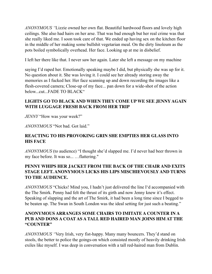*ANONYMOUS "*Lizzie owned her own flat. Beautiful hardwood floors and lovely high ceilings. She also had hairs on her arse. That was bad enough but her real crime was that she really liked me. I soon took care of that. We ended up having sex on the kitchen floor in the middle of her making some bullshit vegetarian meal. On the dirty linoleum as the pots boiled symbolically overhead. Her face. Looking up at me in disbelief.

I left her there like that. I never saw her again. Later she left a message on my machine

saying I'd raped her. Emotionally speaking maybe I did, but physically she was up for it. No question about it. She was loving it. I could see her already storing away the memories as I fucked her. Her face scanning up and down recording the images like a flesh-covered camera; Close-up of my face... pan down for a wide-shot of the action below...cut...FADE TO BLACK"

# **LIGHTS GO TO BLACK AND WHEN THEY COME UP WE SEE JENNY AGAIN WITH LUGGAGE FRESH BACK FROM HER TRIP**

*JENNY* "How was your week?"

*ANONYMOUS* "Not bad. Got laid."

# **REACTING TO HIS PROVOKING GRIN SHE EMPTIES HER GLASS INTO HIS FACE**

*ANONYMOUS* (to audience) "I thought she'd slapped me. I'd never had beer thrown in my face before. It was so... …flattering."

# **PENNY WHIPS HER JACKET FROM THE BACK OF THE CHAIR AND EXITS STAGE LEFT. ANONYMOUS LICKS HIS LIPS MISCHIEVOUSLY AND TURNS TO THE AUDIENCE.**

*ANONYMOUS* "Chicks! Mind you, I hadn't just delivered the line I'd accompanied with the The Smirk. Penny had felt the thrust of its girth and now Jenny knew it's effect. Speaking of slapping and the art of The Smirk, it had been a long time since I begged to be beaten up. The Swan in South London was the ideal setting for just such a beating."

# **ANONYMOUS ARRANGES SOME CHAIRS TO IMITATE A COUNTER IN A PUB AND DONS A COAT AS A TALL RED HAIRED MAN JOINS HIM AT THE "COUNTER"**

*ANONYMOUS "*Very Irish, very fist-happy. Many many bouncers. They'd stand on stools, the better to police the goings-on which consisted mostly of heavily drinking Irish exiles like myself. I was deep in conversation with a tall red-haired man from Dublin.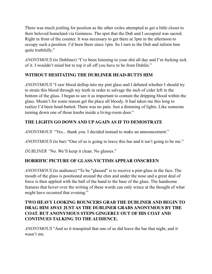There was much jostling for position as the other exiles attempted to get a little closer to their beloved homeland via Guinness. The spot that the Dub and I occupied was sacred. Right in front of the counter. It was necessary to get there at 3pm in the afternoon to occupy such a position. I'd been there since 1pm. So I turn to the Dub and inform him quite truthfully."

*ANONYMOUS* (to Dubliner) "I've been listening to your shit all day and I'm fucking sick of it. I wouldn't mind but to top it all off you have to be from Dublin."

# **WITHOUT HESITATING THE DUBLINER HEAD-BUTTS HIM**

*ANONYMOUS* "I saw blood dollop into my pint glass and I debated whether I should try to strain this blood through my teeth in order to salvage the inch of cider left in the bottom of the glass. I began to see it as important to contain the dripping blood within the glass. Mustn't for some reason get the place all bloody. It had taken me this long to realize I'd been head-butted. There was no pain. Just a dimming of lights. Like someone turning down one of those knobs inside a living-room door."

# **THE LIGHTS GO DOWN AND UP AGAIN AS IF TO DEMOSTRATE**

*ANONYMOUS* "Yes... thank you. I decided instead to make an announcement."

*ANONYMOUS* (to bar) "One of us is going to leave this bar and it isn't going to be me."

*DUBLINER "*No. We'll keep it clean. No glasses."

# **HORRIFIC PICTURE OF GLASS-VICTIMS APPEAR ONSCREEN**

*ANONYMOUS* (to audience) "To be "glassed" is to receive a pint-glass in the face. The mouth of the glass is positioned around the chin and under the nose and a great deal of force is then applied with the ball of the hand to the base of the glass. The handsome features that hover over the writing of these words can only wince at the thought of what might have occurred that evening."

# **TWO HEAVY LOOKING BOUNCERS GRAB THE DUBLINER AND BEGIN TO DRAG HIM AWAY JUST AS THE DUBLINER GRABS ANONYMOUS BY THE COAT. BUT ANONYMOUS STEPS GINGERLY OUT OF HIS COAT AND CONTINUES TALKING TO THE AUDIENCE.**

*ANONYMOUS* "And so it transpired that one of us did leave the bar that night, and it wasn't me.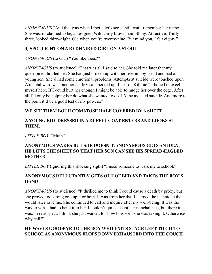*ANONYMOUS* "And that was when I met ...let's see...I still can't remember her name. She was, or claimed to be, a designer. Wild curly brown hair. Shiny. Attractive. Thirtythree, looked thirty-eight. Old when you're twenty-nine. But mind you, I felt eighty."

# **4) SPOTLIGHT ON A REDHAIRED GIRL ON A STOOL**

*ANONYMOUS* (to Girl) "You like trees?"

*ANONYMOUS* (to audience) "That was all I said to her. She told me later that my question enthralled her. She had just broken up with her live-in boyfriend and had a young son. She'd had some emotional problems. Attempts at suicide were touched upon. A mental ward was mentioned. My ears perked up. I heard "Kill me." I hoped to excel myself here. If I could hurt her enough I might be able to nudge her over the edge. After all I'd only be helping her do what she wanted to do. It'd be assisted suicide. And more to the point it'd be a good test of my powers."

# **WE SEE THEM BOTH COMATOSE HALF COVERED BY A SHEET**

# **A YOUNG BOY DRESSED IN A DUFFEL COAT ENTERS AND LOOKS AT THEM.**

*LITTLE BOY* "Mum?

# **ANONYMOUS WAKES BUT SHE DOESN'T. ANONYMOUS GETS AN IDEA. HE LIFTS THE SHEET SO THAT HER SON CAN SEE HIS SPREAD-EAGLED MOTHER**

*LITTLE BOY* (ignoring this shocking sight) "I need someone to walk me to school."

# **ANONYMOUS RELUCTANTLY GETS OUT OF BED AND TAKES THE BOY'S HAND**

*ANONYMOUS* (to audience) "It thrilled me to think I could cause a death by proxy, but she proved too strong or stupid or both. It was from her that I learned the technique that would later save me. She continued to call and inquire after my well-being. It was the way to win. I had to hand it to her. I couldn't quite accept her nonchalance, but there it was. In retrospect, I think she just wanted to show how well she was taking it. Otherwise why call?"

# **HE WAVES GOODBYE TO THE BOY WHO EXITS STAGE LEFT TO GO TO SCHOOL AS ANONYMOUS FLOPS DOWN EXHAUSTED INTO THE COUCH**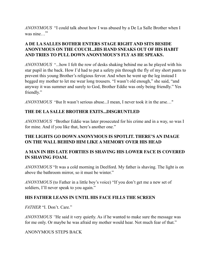*ANONYMOUS* "I could talk about how I was abused by a De La Salle Brother when I was nine…"

# **A DE LA SALLES BOTHER ENTERS STAGE RIGHT AND SITS BESIDE ANONYMOUS ON THE COUCH...HIS HAND SNEAKS OUT OF HIS HABIT AND TRIES TO PULL DOWN ANONYMOUS'S FLY AS HE SPEAKS.**

*ANONYMOUS* "...how I felt the row of desks shaking behind me as he played with his star pupil in the back. How I'd had to put a safety pin through the fly of my short pants to prevent this young Brother's religious fervor. And when he went up the leg instead I begged my mother to let me wear long trousers. "I wasn't old enough," she said, "and anyway it was summer and surely to God, Brother Eddie was only being friendly." Yes friendly."

*ANONYMOUS* "But It wasn't serious abuse...I mean, I never took it in the arse…"

# **THE DE LA SALLE BROTHER EXITS...DISGRUNTLED**

*ANONYMOUS* "Brother Eddie was later prosecuted for his crime and in a way, so was I for mine. And if you like that, here's another one."

#### **THE LIGHTS GO DOWN ANONYMOUS IS SPOTLIT. THERE'S AN IMAGE ON THE WALL BEHIND HIM LIKE A MEMORY OVER HIS HEAD**

#### **A MAN IN HIS LATE FORTIES IS SHAVING HIS LOWER FACE IS COVERED IN SHAVING FOAM.**

*ANONYMOUS* "It was a cold morning in Deelford. My father is shaving. The light is on above the bathroom mirror, so it must be winter."

*ANONYMOUS* (to Father in a little boy's voice) "If you don't get me a new set of soldiers, I'll never speak to you again."

#### **HIS FATHER LEANS IN UNTIL HIS FACE FILLS THE SCREEN**

*FATHER* "I. Don't. Care."

*ANONYMOUS "*He said it very quietly. As if he wanted to make sure the message was for me only. Or maybe he was afraid my mother would hear. Not much fear of that."

#### ANONYMOUS STEPS BACK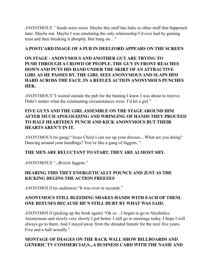*ANONYMOUS "* Seeds were sown. Maybe this stuff has links to other stuff that happened later. Maybe not. Maybe I was emulating the only relationship I'd ever had by gaining trust and then breaking it abruptly. But hang on…"

#### **A POSTCARD IMAGE OF A PUB IN DEELFORD APPEARS ON THE SCREEN**

# **ON STAGE - ANONYMOUS AND ANOTHER GUY ARE TRYING TO PUSH THROUGH A CROWD OF PEOPLE. THE GUY IN FRONT REACHES DOWN AND PUTS HIS HAND UNDER THE SKIRT OF AN ATTRACTIVE GIRL AS HE PASSES BY. THE GIRL SEES ANONYMOUS AND SLAPS HIM HARD ACROSS THE FACE. IN A REFLEX ACTION ANONYMOUS PUNCHES HER.**

*ANONYMOUS* "I waited outside the pub for the beating I knew I was about to receive. Didn't matter what the extenuating circumstances were. I'd hit a girl."

# **FIVE GUYS AND THE GIRL ASSEMBLE ON THE STAGE AROUND HIM AFTER MUCH APOLOGIZING AND WRINGING OF HANDS THEY PROCEED TO HALF HEARTEDLY PUNCH AND KICK ANONYMOUS BUT THEIR HEARTS AREN'T IN IT.**

*ANONYMOUS* (to gang) "Jesus Christ I can see up your dresses....What are you doing? Dancing around your handbags? You're like a gang of faggots..".

# **THE MEN ARE RELUCTANT TO START. THEY ARE ALMOST SHY.**

*ANONYMOUS "..British* faggots."

# **HEARING THIS THEY ENERGETICALLY POUNCE AND JUST AS THE KICKING BEGINS THE ACTION FREEZES**

*ANONYMOUS* (to audience) "It was over in seconds."

# **ANONYMOUS STILL BLEEDING SHAKES HANDS WITH EACH OF THEM. ONE REFUSES BECAUSE HE'S STILL HURT BY WHAT WAS SAID.**

*ANONYMOUS* (picking up the book again) "Ok so ...I began to go to Alcoholics Anonymous and slowly very slowly I got better. I still go to meetings today. I hope I will always go to them. And I stayed away from the dreaded female for the next five years. Five and a half actually."

# **MONTAGE OF IMAGES ON THE BACK WALL SHOW BILLBOARDS AND GENERIC TV COMMERCIALS...A BUSINESS CARD WITH THE NAME AND**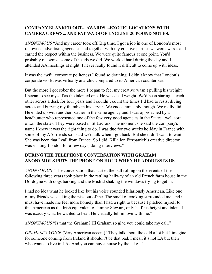# **COMPANY BLANKED OUT....AWARDS....EXOTIC LOCATIONS WITH CAMERA CREWS... AND FAT WADS OF ENGLISH 20 POUND NOTES.**

*ANONYMOUS* "And my career took off. Big time. I got a job in one of London's most renowned advertising agencies and together with my creative partner we won awards and earned the respect within the business. We were quite famous at one point. You'd probably recognize some of the ads we did. We worked hard during the day and I attended AA meetings at night. I never really found it difficult to come up with ideas.

It was the awful corporate politeness I found so draining. I didn't know that London's corporate world was virtually anarchic compared to its American counterpart.

But the more I got sober the more I began to feel my creative wasn't pulling his weight I began to see myself as the talented one. He was dead weight. We'd been staring at each other across a desk for four years and I couldn't count the times I'd had to resist diving across and burying my thumbs in his larynx. We ended amicably though. We really did. He ended up with another partner in the same agency and I was approached by a headhunter who represented one of the few very good agencies in the States...well sort of...in the states. They were based in St Lacroix. The moment she said the company's name I knew it was the right thing to do. I was due for two weeks holiday in France with some of my AA friends so I said we'd talk when I got back. But she didn't want to wait. She was keen that I call from France. So I did. Killallon Fitzpatrick's creative director was visiting London for a few days, doing interviews."

#### **DURING THE TELEPHONE CONVERSATION WITH GRAHAM ANONYMOUS PUTS THE PHONE ON HOLD WHEN HE ADDRESSES US**

*ANONYMOUS "*The conversation that started the ball rolling on the events of the following three years took place in the rattling hallway of an old French farm house in the Dordogne with dogs barking and the Mistral shaking the windows trying to get in.

I had no idea what he looked like but his voice sounded hilariously American. Like one of my friends was taking the piss out of me. The smell of cooking surrounded me, and it must have made me feel more homely than I had a right to because I pitched myself to this American as the Irish equivalent of Jimmy Stewart, only half his height and talent. It was exactly what he wanted to hear. He virtually fell in love with me."

*ANONYMOUS* "Is that the Graham? Hi Graham so glad you could take my call."

*GRAHAM'S VOICE* (Very American accent) "They talk about the cold a lot but I imagine for someone coming from Ireland it shouldn't be that bad. I mean it's not LA but then who wants to live in LA? And you can buy a house by the lake... "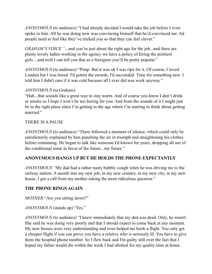*ANONYMOUS* (to audience) "I had already decided I would take the job before I even spoke to him. All he was doing now was convincing himself that he'd convinced me. Ad people need to feel like they've tricked you so that they can feel clever."

*GRAHAM'S VOICE "*...and you're just about the right age for the job...and there are plenty lovely ladies working in the agency we have a policy of hiring the prettiest girls ...and well I can tell you that as a foreigner you'll be pretty popular."

*ANONYMOUS* (to audience) "Pimp. But it was ok I was ripe for it. Of course, I loved London but I was bored. I'd gotten the awards, I'd succeeded. Time for something new. I told him I didn't care if it was cold because all I ever did was work anyway."

#### *ANONYMOUS* (to Graham)

"Hah...that sounds like a great way to stay warm. And of course you know I don't drink or smoke so I hope I won't be too boring for you. And from the sounds of it I might just be in the right place since I'm getting to the age where I'm starting to think about getting married."

#### THERE IS A PAUSE

*ANONYMOUS* (to audience) "There followed a moment of silence, which could only be satisfactorily explained by him punching the air in triumph and straightening his clothes before continuing. He began to talk like someone I'd known for years, dropping all use of the conditional tense in favor of the future...my future."

# **ANONYMOUS HANGS UP BUT HE HOLDS THE PHONE EXPECTANTLY**

*ANONYMOUS "*My dad had a rather nasty bubbly cough when he was driving me to the railway station. A month into my new job, in my new country, in my new city, in my new house, I got a call from my mother asking the most ridiculous question."

#### **THE PHONE RINGS AGAIN**

*MOTHER* "Are you sitting down?"

# *ANONYMOUS* (stands up) "Yes."

*ANONYMOUS* (to audience) "I knew immediately that my dad was dead. Only, he wasn't. She said he was doing very poorly and that I should expect to come back at any moment. My new bosses were very understanding and even helped me book a flight. You only get a cheaper flight if you can prove you have a relative who is seriously ill. You have to give them the hospital phone number. So I flew back and I'm guilty still over the fact that I hoped my father would die within the week I had allotted for my quality time at home.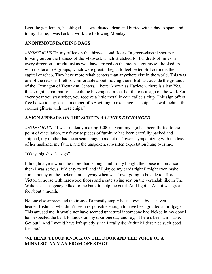Ever the gentleman, he obliged. He was dusted, dead and buried with a day to spare and, to my shame, I was back at work the following Monday."

# **ANONYMOUS PACKING BAGS**

*ANONYMOUS* "In my office on the thirty-second floor of a green-glass skyscraper looking out on the flatness of the Midwest, which stretched for hundreds of miles in every direction, I might just as well have arrived on the moon. I got myself hooked up with the local AA groups, which were great. I began to feel better. St Lacroix is the capital of rehab. They have more rehab centers than anywhere else in the world. This was one of the reasons I felt so comfortable about moving there. But just outside the grounds of the "Pentagon of Treatment Centers," (better known as Hazleton) there is a bar. Yes, that's right, a bar that sells alcoholic beverages. In that bar there is a sign on the wall. For every year you stay sober, you receive a little metallic coin called a chip. This sign offers free booze to any lapsed member of AA willing to exchange his chip. The wall behind the counter glitters with these chips."

# **A SIGN APPEARS ON THE SCREEN** *AA CHIPS EXCHANGED*

*ANONYMOUS "*I was suddenly making \$200k a year, my ego had been fluffed to the point of ejaculation, my favorite pieces of furniture had been carefully packed and shipped, my mother had been sent a huge bouquet of flowers sympathizing with the loss of her husband, my father, and the unspoken, unwritten expectation hung over me.

"Okay, big shot, let's go"

I thought a year would be more than enough and I only bought the house to convince them I was serious. It'd easy to sell and if I played my cards right I' might even make some money on the fucker...and anyway when was I ever going to be able to afford a Victorian house with hardwood floors and a cute swing seat on the verandah like in The Waltons? The agency talked to the bank to help me get it. And I got it. And it was great.... for about a month.

No one else appreciated the irony of a mostly empty house owned by a shavenheaded Irishman who didn't seem responsible enough to have been granted a mortgage. This amused me. It would not have seemed unnatural if someone had kicked in my door I half-expected the bank to knock on my door one day and say, "There's been a mistake. Get out." And I would have left quietly since I really didn't think I deserved such good fortune."

# **WE HEAR A LOUD KNOCK ON THE DOOR AND THE VOICE OF A MINNESOTAN MAN FROM OFF STAGE**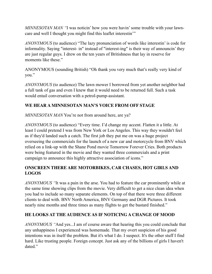*MINNESOTAN MAN "*I was noticin' how you were havin' some trouble with your lawncare and well I thought you might find this leaflet interestin'"

*ANONYMOUS* (to audience) "The lazy pronunciation of words like interestin' is code for informality. Saying "interest- in" instead of "interest-ing" is their way of announcin' they are just regular guys. I drew on the ten years of Britishness that lay in reserve for moments like these."

ANONYMOUS (sounding British) "Oh thank you very much that's really very kind of you."

*ANONYMOUS* (to audience) The lawn mower I borrowed from yet another neighbor had a full tank of gas and even I knew that it would need to be returned full. Such a task would entail conversation with a petrol-pump-assistant.

# **WE HEAR A MINNESOTAN MAN'S VOICE FROM OFF STAGE**

*MINNESOTAN MAN* You're not from around here, are ya?

*ANONYMOUS* (to audience) "Every time. I'd change my accent. Flatten it a little. At least I could pretend I was from New York or Los Angeles. This way they wouldn't feel as if they'd landed such a catch. The first job they put me on was a huge project overseeing the commercials for the launch of a new car and motorcycle from BNV which relied on a link-up with the Shane Pond movie Tomorrow Forever Cries. Both products were being featured in the movie and they wanted three commercials and a print campaign to announce this highly attractive association of icons."

# **ONSCREEN THERE ARE MOTORBIKES, CAR CHASES, HOT GIRLS AND LOGOS**

*ANONYMOUS "*It was a pain in the arse. You had to feature the car prominently while at the same time showing clips from the movie. Very difficult to get a nice clean idea when you had to include so many separate elements. On top of that there were three different clients to deal with. BNV North America, BNV Germany and DGR Pictures. It took nearly nine months and three times as many flights to get the bastard finished."

# **HE LOOKS AT THE AUDIENCE AS IF NOTICING A CHANGE OF MOOD**

*ANONYMOUS "*And yes...I am of course aware that hearing this you could conclude that any unhappiness I experienced was homemade. That my overt suspicion of his good intentions was in itself the problem. But it's what I do. I suspect. It's the other stuff I find hard. Like trusting people. Foreign concept. Just ask any of the billions of girls I haven't dated."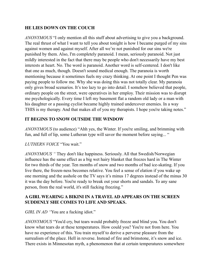# **HE LIES DOWN ON THE COUCH**

*ANONYMOUS* "I only mention all this stuff about advertising to give you a background. The real thrust of what I want to tell you about tonight is how I became purged of my sins against women and against myself. After all we're not punished for our sins we're punished by them. Also, I'm completely paranoid. I mean, seriously paranoid. Not just mildly interested in the fact that there may be people who don't necessarily have my best interests at heart. No. The word is paranoid. Another word is self-centered. I don't like that one as much, though. Doesn't sound medical enough. The paranoia is worth mentioning because it sometimes fuels my crazy thinking. At one point I thought Pen was paying people to follow me. Why she was doing this was not totally clear. My paranoia only gives broad scenarios. It's too lazy to go into detail. I somehow believed that people, ordinary people on the street, were operatives in her employ. Their mission was to disrupt me psychologically. Every time I left my basement flat a random old lady or a man with his daughter or a passing cyclist became highly trained undercover enemies. In a way THIS is my therapy. And that makes all of you my therapists. I hope you're taking notes."

#### **IT BEGINS TO SNOW OUTSIDE THE WINDOW**

*ANONYMOUS* (to audience) "Ahh yes, the Winter. If you're smiling, and brimming with fun, and full of lip, some Lutheran type will savor the moment before saying... "

#### *LUTHERN VOICE* "You wait."

*ANONYMOUS "* They don't like happiness. Seriously. All that Swedish/Norwegian influence has the same effect as a big wet hairy blanket that freezes hard in The Winter for two thirds of the year. Ten months of snow and two months of bad ice-skating. If you live there, the frozen-ness becomes relative. You feel a sense of elation if you wake up one morning and the asshole on the TV says it's minus 17 degrees instead of the minus 30 it was the day before. You're ready to break out your shorts and sandals. To any sane person, from the real world, it's still fucking freezing."

#### **A GIRL WEARING A BIKINI IN A TRAVEL AD APPEARS ON THE SCREEN SUDDENLY SHE COMES TO LIFE AND SPEAKS.**

#### *GIRL IN AD* "You are a fucking idiot."

*ANONYMOUS* "You'd cry, but tears would probably freeze and blind you. You don't know what tears do at these temperatures. How could you? You're not from here. You have no experience of this. You train myself to derive a perverse pleasure from the surrealism of the place. Hell in reverse. Instead of fire and brimstone, it's snow and ice. There exists in Minnesotan myth, a phenomenon that at certain temperatures somewhere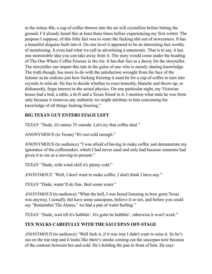in the minus 40s, a cup of coffee thrown into the air will crystallize before hitting the ground. I'd already heard this at least three times before experiencing my first winter. The purpose I suppose, of this little fact was to scare the fucking shit out of newcomers. It has a beautiful disguise built into it. On one level it appeared to be an interesting fact worthy of mentioning. It even had what we call in advertising a mnemonic. That is to say, it has one memorable idea you can take away from it. The story would come under the heading of The One Where Coffee Freezes in the Air. It has that fact as a decoy for the storyteller. The storyteller can impart this tale in the guise of one who is merely sharing knowledge. The truth though, has more to do with the satisfaction wrought from the face of the listener as he realizes just how fucking freezing it must be for a cup of coffee to turn into crystals in mid-air. He has to decide whether to react honestly, blanche and throw-up, or dishonestly, feign interest in the actual physics. On one particular night, my Victorian house had a bed, a table, a hi-fi and a Texan friend in it. I mention what state he was from only because it removes any authority we might attribute to him concerning his knowledge of all things fucking freezing."

# **BIG TEXAN GUY ENTERS STAGE LEFT**

*TEXAN "*Dude, it's minus 35 outside. Let's try that coffee deal."

ANONYMOUS (to Texan) "It's not cold enough."

ANONYMOUS (to audience) "I was afraid of having to make coffee and demonstrate my ignorance of the coffeemaker, which I had never used and only had because someone had given it to me as a moving-in present."

*TEXAN "*Dude, with wind-chill it's plenty cold."

*ANONYMOUS "*Well, I don't want to make coffee. I don't think I have any."

*TEXAN* "Dude, water'll do fine. Boil some water."

*ANONYMOUS* (to audience) "What the hell, I was bored listening to how great Texas was anyway. I actually did have some saucepans, believe it or not, and before you could say "Remember The Alamo," we had a pan of water boiling."

*TEXAN "*Dude, wait till it's bubblin'. It's gotta be bubblin', otherwise it won't work."

# **TEX WALKS CAREFULLY WITH THE SAUCEPAN OFF-STAGE**

*ANONYMOUS* (to audience) "Well fuck it, if it was true I didn't want to miss it. So he's out on the top step and it looks like there's smoke coming out the saucepan now because of the contrast between hot and cold. He's holding the pan in front of him. He says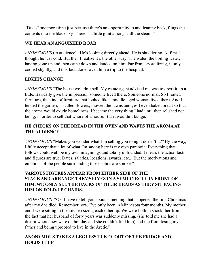"Dude" one more time just because there's an opportunity to and leaning back, flings the contents into the black sky. There is a little glint amongst all the steam."

# **WE HEAR AN ANGUISHED ROAR**

*ANONYMOUS* (to audience) "He's looking directly ahead. He is shuddering. At first, I thought he was cold. But then I realize it's the other way. The water, the boiling water, having gone up and then came down and landed on him. Far from crystallizing, it only cooled slightly, and this fact alone saved him a trip to the hospital."

# **LIGHTS CHANGE**

*ANONYMOUS* "The house wouldn't sell. My estate agent advised me was to dress it up a little. Basically give the impression someone lived there. Someone normal. So I rented furniture, the kind of furniture that looked like a middle-aged woman lived there. And I tended the garden, installed flowers, mowed the lawns and yes I even baked bread so that the aroma would exude homeliness. I became the very thing I had until then relished not being, in order to sell that whore of a house. But it wouldn't budge."

# **HE CHECKS ON THE BREAD IN THE OVEN AND WAFTS THE AROMA AT THE AUDIENCE**

*ANONYMOUS* "Makes you wonder what I'm selling you tonight doesn't it?" By the way, I fully accept that a lot of what I'm saying here is my own paranoia. Everything that follows could well be my own imaginings and totally unfounded. I mean, the actual facts and figures are true. Dates, salaries, locations, awards, etc... But the motivations and emotions of the people surrounding those solids are smoke."

# **VARIOUS FIGURES APPEAR FROM EITHER SIDE OF THE STAGE AND ARRANGE THEMSELVES IN A SEMI-CIRCLE IN FRONT OF HIM. WE ONLY SEE THE BACKS OF THEIR HEADS AS THEY SIT FACING HIM ON FOLD-UP CHAIRS.**

*ANONYMOUS* "Ok, I have to tell you about something that happened the first Christmas after my dad died. Remember now, I've only been in Minnesota four months. My mother and I were sitting in the kitchen sizing each other up. We were both in shock; her from the fact that her husband of forty years was suddenly missing, (she told me she had a dream where they were on holiday and she couldn't find him) and me from losing my father and being uprooted to live in the Arctic."

# **ANONYMOUS TAKES A LEGLESS TUKEY OUT OF THE FRIDGE AND HOLDS IT UP**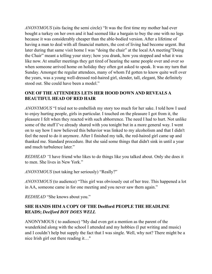*ANONYMOUS* (sits facing the semi circle) "It was the first time my mother had ever bought a turkey on her own and it had seemed like a bargain to buy the one with no legs because it was considerably cheaper than the able-bodied version. After a lifetime of having a man to deal with all financial matters, the cost of living had become urgent. But later during that same visit home I was "doing the chair" at the local AA meeting"Doing the Chair" meant a telling your story; how you drank, how you stopped and what it was like now. At smaller meetings they get tired of hearing the same people over and over so when someone arrived home on holiday they often got asked to speak. It was my turn that Sunday. Amongst the regular attendees, many of whom I'd gotten to know quite well over the years, was a young well-dressed red-haired girl, slender, tall, elegant, She definitely stood out. She could have been a model."

#### **ONE OF THE ATTENDEES LETS HER HOOD DOWN AND REVEALS A BEAUTIFUL HEAD OF RED HAIR**

*ANONYMOUS* "I tried not to embellish my story too much for her sake. I told how I used to enjoy hurting people, girls in particular. I touched on the pleasure I got from it, the pleasure I felt when they reacted with such abhorrence. The need I had to hurt. Not unlike some of the stuff I've already shared with you tonight but in a more general way. I went on to say how I now believed this behavior was linked to my alcoholism and that I didn't feel the need to do it anymore. After I finished my talk, the red-haired girl came up and thanked me. Standard procedure. But she said some things that didn't sink in until a year and much turbulence later."

*REDHEAD "*I have friend who likes to do things like you talked about. Only she does it to men. She lives in New York."

*ANONYMOUS* (not taking her seriously) "Really?"

*ANONYMOUS* (to audience) "This girl was obviously out of her tree. This happened a lot in AA, someone came in for one meeting and you never saw them again."

*REDHEAD* "She knows about you."

# **SHE HANDS HIM A COPY OF THE Deelford PEOPLE THE HEADLINE READS;** *Deelford BOY DOES WELL*

ANONYMOUS ( to audience) "My dad even got a mention as the parent of the wunderkind along with the school I attended and my hobbies (I put writing and music) and I couldn't help but supply the fact that I was single. Well, why not? There might be a nice Irish girl out there reading it…"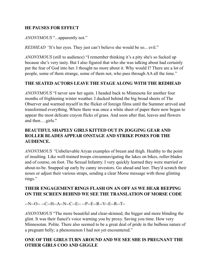#### **HE PAUSES FOR EFFECT**

*ANONYMOUS* "...apparently not."

*REDHEAD* "It's her eyes. They just can't believe she would be so... evil."

*ANONYMOUS* (still to audience) "I remember thinking it's a pity she's so fucked up because she's very tasty. But I also figured that who she was talking about had certainly put the fear of God into her. I thought no more about it. Why would I? There are a lot of people, some of them strange, some of them not, who pass through AA all the time."

#### **THE SEATED ACTORS LEAVE THE STAGE ALONG WITH THE REDHEAD**

*ANONYMOUS* "I never saw her again. I headed back to Minnesota for another four months of frightening winter weather. I ducked behind the big broad sheets of The Observer and warmed myself in the flicker of foreign films until the Summer arrived and transformed everything. Where there was once a white sheet of paper there now began to appear the most delicate crayon flicks of grass. And soon after that, leaves and flowers and then….girls."

#### **BEAUTIFUL SHAPELY GIRLS KITTED OUT IN JOGGING GEAR AND ROLLER BLADES APPEAR ONSTAGE AND STRIKE POSES FOR THE AUDIENCE.**

*ANONYMOUS "*Unbelievable Aryan examples of breast and thigh. Healthy to the point of insulting. Like well-trained troops circumnavigating the lakes on bikes, roller-blades and of course, on foot. The Sexual Infantry. I very quickly learned they were married or about-to-be. Snapped up early by canny investors. Go ahead and leer. They'd scratch their noses or adjust their various straps, sending a clear Morse message with those glinting rings."

#### **THEIR ENGAGEMENT RINGS FLASH ON AN OFF AS WE HEAR BEEPING ON THE SCREEN BEHIND WE SEE THE TRANSLATION OF MORSE CODE**

--N--O-- --C--H--A--N--C--E-- --P--E--R--V--E--R--T--

*ANONYMOUS* "The more beautiful and clear-skinned, the bigger and more blinding the glint. It was their fiancé's voice warning you by proxy. Saving you time. How very Minnesotan. Polite. There also seemed to be a great deal of pride in the bulbous nature of a pregnant belly; a phenomenon I had not yet encountered."

# **ONE OF THE GIRLS TURN AROUND AND WE SEE SHE IS PREGNANT THE OTHER GIRLS COO AND GIGGLE**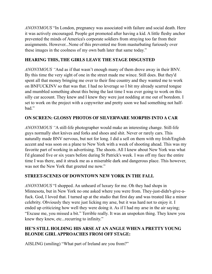*ANONYMOUS* "In London, pregnancy was associated with failure and social death. Here it was actively encouraged. People got promoted after having a kid. A little fleshy anchor prevented the minds of America's corporate soldiers from straying too far from their assignments. However...None of this prevented me from masturbating furiously over these images in the coolness of my own bath later that same today."

# **HEARING THIS, THE GIRLS LEAVE THE STAGE DISGUSTED**

*ANONYMOUS "*And as if that wasn't enough many of them drove away in their BNV. By this time the very sight of one in the street made me wince. Still does. But they'd spent all that money bringing me over to their fine country and they wanted me to work on BNFUCKINV so that was that. I had no leverage so I bit my already scarred tongue and mumbled something about this being the last time I was ever going to work on this silly car account. They knew and I knew they were just nodding at me out of boredom. I set to work on the project with a copywriter and pretty soon we had something not halfbad."

# **ON SCREEN: GLOSSY PHOTOS OF SILVERWARE MORPHS INTO A CAR**

*ANONYMOUS "*A still-life photographer would make an interesting change. Still-life guys normally shot knives and forks and shoes and shit. Never or rarely cars. This naturally made BNV nervous, but not for long. I did a sell on them with my Irish/English accent and was soon on a plane to New York with a week of shooting ahead. This was my favorite part of working in advertising. The shoots. All I knew about New York was what I'd gleaned five or six years before during St Patrick's week. I was off my face the entire time I was there, and it struck me as a miserable dark and dangerous place. This however, was not the New York that greeted me now."

#### **STREET-SCENES OF DOWNTOWN NEW YORK IN THE FALL**

*ANONYMOUS* "I shopped. An unheard of luxury for me. Oh they had shops in Minnesota, but in New York no one asked where you were from. They-just-didn't-give-afuck. God, I loved that. I turned up at the studio that first day and was treated like a minor celebrity. Obviously they were just licking my arse, but it was hard not to enjoy it. I ended up criticizing how well they were doing it. As if I had my arse in the air saying; "Excuse me, you missed a bit." Terrible really. It was an unspoken thing. They knew you knew they knew, etc...recurring to infinity."

#### **HE'S STILL HOLDING HIS ARSE AT AN ANGLE WHEN A PRETTY YOUNG BLONDE GIRL APPROACHES FROM OFF STAGE:**

AISLING (smiling) "What part of Ireland are you from?"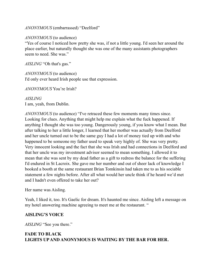*ANONYMOUS* (embarrassed) "Deelford"

#### *ANONYMOUS* (to audience)

"Yes of course I noticed how pretty she was, if not a little young. I'd seen her around the place earlier, but naturally thought she was one of the many assistants photographers seem to need. She was."

*AISLING* "Oh that's gas."

*ANONYMOUS* (to audience) I'd only ever heard Irish people use that expression.

*ANONYMOUS* You're Irish?

*AISLING* I am, yeah, from Dublin.

*ANONYMOUS* (to audience) "I've retraced these few moments many times since. Looking for clues. Anything that might help me explain what the fuck happened. If anything I thought she was too young. Dangerously young, if you know what I mean. But after talking to her a little longer, I learned that her mother was actually from Deelford and her uncle turned out to be the same guy I had a lot of money tied up with and who happened to be someone my father used to speak very highly of. She was very pretty. Very innocent looking and the fact that she was Irish and had connections in Deelford and that her uncle was my investment advisor seemed to mean something. I allowed it to mean that she was sent by my dead father as a gift to redress the balance for the suffering I'd endured in St Lacroix. She gave me her number and out of sheer lack of knowledge I booked a booth at the same restaurant Brian Tomkinsin had taken me to as his sociable statement a few nights before. After all what would her uncle think if he heard we'd met and I hadn't even offered to take her out?

Her name was Aisling.

Yeah, I liked it, too. It's Gaelic for dream. It's haunted me since. Aisling left a message on my hotel answering machine agreeing to meet me at the restaurant. "

#### **AISLING'S VOICE**

*AISLING* "See you there."

#### **FADE TO BLACK LIGHTS UP AND ANONYMOUS IS WAITING BY THE BAR FOR HER.**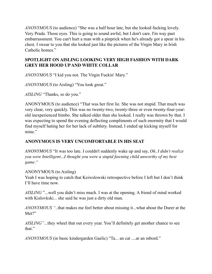*ANONYMOUS* (to audience) "She was a half hour late, but she looked fucking lovely. Very Prada. Those eyes. This is going to sound awful, but I don't care. I'm way past embarrassment. You can't hurt a man with a pinprick when he's already got a spear in his chest. I swear to you that she looked just like the pictures of the Virgin Mary in Irish Catholic homes."

# **SPOTLIGHT ON AISLING LOOKING VERY HIGH FASHION WITH DARK GREY HER HOOD UP AND WHITE COLLAR**

*ANONYMOUS* "I kid you not. The Virgin Fuckin' Mary."

*ANONYMOUS* (to Aisling) "You look great."

*AISLING* "Thanks, so do you."

ANONYMOUS (to audience) "That was her first lie. She was not stupid. That much was very clear, very quickly. This was no twenty-two, twenty-three or even twenty-four-yearold inexperienced bimbo. She talked older than she looked. I really was thrown by that. I was expecting to spend the evening deflecting compliments of such enormity that I would find myself hating her for her lack of subtlety. Instead, I ended up kicking myself for mine"

# **ANONYMOUS IS VERY UNCOMFORTABLE IN HIS SEAT**

*ANONYMOUS* "It was too late. I couldn't suddenly wake up and say, *Oh, I didn't realize you were Intelligent...I thought you were a stupid fawning child unworthy of my best game."*

ANONYMOUS (to Aisling)

Yeah I was hoping to catch that Keiwslowski retrospective before I left but I don't think I'll have time now.

*AISLING* "...well you didn't miss much. I was at the opening. A friend of mind worked with Kislovkski... she said he was just a dirty old man.

*ANONYMOUS "*..that makes me feel better about missing it...what about the Durer at the Met?"

*AISLING"*...they wheel that out every year. You'll definitely get another chance to see that."

*ANONYMOUS* (in basic kindergarden Gaelic) "Ta... an cat ....ar an mbord."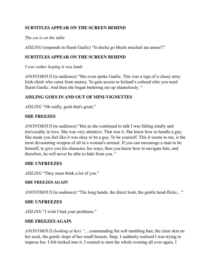# **SUBTITLES APPEAR ON THE SCREEN BEHIND**

#### *The cat is on the table*

*AISLING* (responds in fluent Gaelic) "Is docha go bhuils muchail ata anseo!!"

#### **SUBTITLES APPEAR ON THE SCREEN BEHIND**

*I was rather hoping it was lamb* 

*ANONYMOUS* (to audience) "She even spoke Gaelic. This was a sign of a classy artsy Irish chick who came from money. To gain access to Ireland's cultural elite you need fluent Gaelic. And then she began buttering me up shamelessly. "

# **AISLING GOES IN AND OUT OF MINI-VIGNETTES**

*AISLING* "Oh really, gosh that's great."

#### **SHE FREEZES**

*ANONYMOUS* (to audience) "But as she continued to talk I was falling totally and irrevocably in love. She was very attentive. That was it. She knew how to handle a guy. She made you feel like it was okay to be a guy. To be yourself. This it seems to me, is the most devastating weapon of all in a woman's arsenal. If you can encourage a man to be himself, to give you his character, his ways, then you know how to navigate him, and therefore, he will never be able to hide from you. "

#### **SHE UNFREEZES**

*AISLING* "They must think a lot of you."

#### **SHE FREEZES AGAIN**

*ANONYMOUS* (to audience) "The long hands, the direct look, the gentle head-flicks... "

#### **SHE UNFREEZES**

*AISLING* "I wish I had your problems."

#### **SHE FREEZES AGAIN**

*ANONYMOUS (looking at her) "*....commanding the soft tumbling hair, the clear skin on her neck, the gentle slope of her small breasts. Stop. I suddenly realized I was trying to impress her. I felt tricked into it. I wanted to start the whole evening all over again. I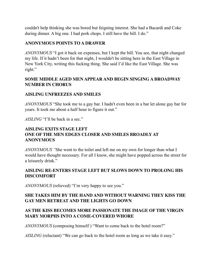couldn't help thinking she was bored but feigning interest. She had a Bacardi and Coke during dinner. A big one. I had pork chops. I still have the bill. I do."

#### **ANONYMOUS POINTS TO A DRAWER**

*ANONYMOUS* "I got it back on expenses, but I kept the bill. You see, that night changed my life. If it hadn't been for that night, I wouldn't be sitting here in the East Village in New York City, writing this fucking thing. She said I'd like the East Village. She was right."

#### **SOME MIDDLE AGED MEN APPEAR AND BEGIN SINGING A BROADWAY NUMBER IN CHORUS**

#### **AISLING UNFREEZES AND SMILES**

*ANONYMOUS* "She took me to a gay bar. I hadn't even been in a bar let alone gay bar for years. It took me about a half hour to figure it out."

*AISLING* "I'll be back in a sec."

#### **AISLING EXITS STAGE LEFT ONE OF THE MEN EDGES CLOSER AND SMILES BROADLY AT ANONYMOUS**

*ANONYMOUS "*She went to the toilet and left me on my own for longer than what I would have thought necessary. For all I know, she might have popped across the street for a leisurely drink."

#### **AISLING RE-ENTERS STAGE LEFT BUT SLOWS DOWN TO PROLONG HIS DISCOMFORT**

*ANONYMOUS* (relieved) "I'm very happy to see you."

# **SHE TAKES HIM BY THE HAND AND WITHOUT WARNING THEY KISS THE GAY MEN RETREAT AND THE LIGHTS GO DOWN**

# **AS THE KISS BECOMES MORE PASSIONATE THE IMAGE OF THE VIRGIN MARY MORPHS INTO A COME-COVERED WHORE**

*ANONYMOUS* (composing himself ) "Want to come back to the hotel room?"

*AISLING* (reluctant) "We can go back to the hotel room as long as we take it easy."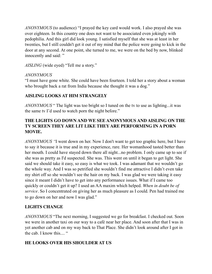*ANONYMOUS* (to audience) "I prayed the key card would work. I also prayed she was over eighteen. In this country one does not want to be associated even jokingly with pedophilia. And this girl did look young. I satisfied myself that she was at least in her twenties, but I still couldn't get it out of my mind that the police were going to kick in the door at any second. At one point, she turned to me, we were on the bed by now, blinked innocently and said: "

*AISLING* (wide eyed) "Tell me a story."

#### *ANONYMOUS*

"I must have gone white. She could have been fourteen. I told her a story about a woman who brought back a rat from India because she thought it was a dog."

# **AISLING LOOKS AT HIM STRANGELY**

*ANONYMOUS* " The light was too bright so I tuned on the tv to use as lighting...it was the same tv I'd used to watch porn the night before."

# **THE LIGHTS GO DOWN AND WE SEE ANONYMOUS AND AISLING ON THE TV SCREEN THEY ARE LIT LIKE THEY ARE PERFORMING IN A PORN MOVIE.**

*ANONYMOUS "*I went down on her. Now I don't want to get too graphic here, but I have to say it because it is true and in my experience, rare. Her womanhood tasted better than her mouth. I could have stayed down there all night...no problem. I only came up to see if she was as pretty as I'd suspected. She was. This went on until it began to get light. She said we should take it easy, so easy is what we took. I was adamant that we wouldn't go the whole way. And I was so petrified she wouldn't find me attractive I didn't even take my shirt off so she wouldn't see the hair on my back. I was glad we were taking it easy since it meant I didn't have to get into any performance issues. What if I came too quickly or couldn't get it up? I used an AA maxim which helped. *When in doubt be of service.* So I concentrated on giving her as much pleasure as I could. Pen had trained me to go down on her and now I was glad."

# **LIGHTS CHANGE**

*ANONYMOUS* "The next morning, I suggested we go for breakfast. I checked out. Soon we were in another taxi on our way to a café near her place. And soon after that I was in yet another cab and on my way back to That Place. She didn't look around after I got in the cab. I know this....  $\degree$ 

#### **HE LOOKS OVER HIS SHOULDER AT US**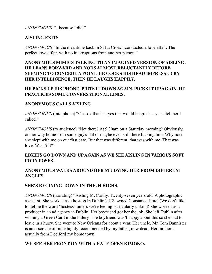*ANONYMOUS "*...because I did."

#### **AISLING EXITS**

*ANONYMOUS "*In the meantime back in St La Croix I conducted a love affair. The perfect love affair, with no interruptions from another person."

#### **ANONYMOUS MIMICS TALKING TO AN IMAGINED VERSION OF AISLING. HE LEANS FORWARD AND NODS ALMOST RELUCTANTLY BEFORE SEEMING TO CONCEDE A POINT. HE COCKS HIS HEAD IMPRESSED BY HER INTELLIGENCE. THEN HE LAUGHS HAPPILY.**

#### **HE PICKS UP HIS PHONE. PIUTS IT DOWN AGAIN. PICKS IT UP AGAIN. HE PRACTICES SOME CONVERSATIONAL LINES.**

#### **ANONYMOUS CALLS AISLING**

*ANONYMOUS* (into phone) "Oh...ok thanks...yes that would be great ... yes... tell her I called."

*ANONYMOUS* (to audience) "Not there? At 9.30am on a Saturday morning? Obviously, on her way home from some guy's flat or maybe even still there fucking him. Why not? she slept with me on our first date. But that was different, that was with me. That was love. Wasn't it?"

#### **LIGHTS GO DOWN AND UP AGAIN AS WE SEE AISLING IN VARIOUS SOFT PORN POSES.**

#### **ANONYMOUS WALKS AROUND HER STUDYING HER FROM DIFFERENT ANGLES.**

#### **SHE'S RECINING DOWN IN THIGH HIGHS.**

*ANONYMOUS* (narrating) "Aisling McCarthy. Twenty-seven years old. A photographic assistant. She worked as a hostess In Dublin's U2-owned Constance Hotel (We don't like to define the word "hostess" unless we're feeling particularly unkind) She worked as a producer in an ad agency in Dublin. Her boyfriend got her the job. She left Dublin after winning a Green Card in the lottery. The boyfriend was't happy about this so she had to leave in a hurry. She went to New Orleans for about a year. Her uncle, Mr. Tom Bannister is an associate of mine highly recommended by my father, now dead. Her mother is actually from Deelford my home town.

#### **WE SEE HER FRONT-ON WITH A HALF-OPEN KIMONO.**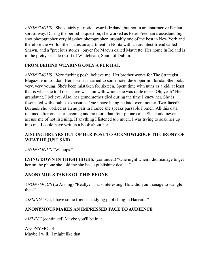*ANONYMOUS "*She's fairly patriotic towards Ireland, but not in an unattractive Fenian sort of way. During the period in question, she worked as Peter Freeman's assistant, bigshot photographer very big-shot photographer, probably one of the best in New York and therefore the world. She shares an apartment in Nolita with an architect friend called Shawn, and a "precious stones" buyer for Macy's called Maurette. Her home in Ireland is in the pretty seaside resort of Whiteheath, South of Dublin.

# **FROM BEHIND WEARING ONLY A FUR HAT.**

*ANONYMOUS "*Very fucking posh, believe me. Her brother works for The Strategist Magazine in London. Her sister is married to some hotel developer in Florida. She looks very, very young. She's been mistaken for sixteen. Spent time with nuns as a kid, at least that is what she told me. There was nun with whom she was quite close. Oh, yeah? Her grandaunt, I believe. Also, her grandmother died during the time I knew her. She is fascinated with double- exposures. One image being be laid over another. Two-faced? Because she worked as an au pair in France she speaks passable French. All this data retained after one short evening and no more than four phone calls. She could never accuse me of not listening. If anything I listened *too* much. I was trying to soak her up into me. I could have written a book about her... "

# **AISLING BREAKS OUT OF HER POSE TO ACKNOWLEDGE THE IRONY OF WHAT HE JUST SAID**

*ANONYMOUS* "Whoops."

**LYING DOWN IN THIGH HIGHS.** (continued) "One night when I did manage to get her on the phone she told me she had a publishing deal.... "

# **ANONYMOUS TAKES OUT HIS PHONE**

*ANONYMOUS* (to Aisling) "Really? That's interesting. How did you manage to wangle that?"

*AISLING "*Oh, I have some friends studying publishing in Harvard."

#### **ANONYMOUS MAKES AN IMPRESSED FACE TO AUDIENCE**

*AISLING* (continued) Maybe you'll be in it.

ANONYMOUS Maybe I will...I might like that.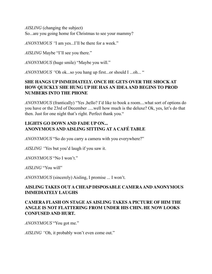*AISLING* (changing the subject) So...are you going home for Christmas to see your mammy?

*ANONYMOUS "*I am yes...I'll be there for a week."

*AISLING* Maybe "I'll see you there."

*ANONYMOUS* (huge smile) "Maybe you will."

*ANONYMOUS "*Oh ok...so you hang up first...or should I ...oh... "

# **SHE HANGS UP IMMEDIATELY. ONCE HE GETS OVER THE SHOCK AT HOW QUICKLY SHE HUNG UP HE HAS AN IDEA AND BEGINS TO PROD NUMBERS INTO THE PHONE**

*ANONYMOUS* (frantically) "Yes ,hello? I'd like to book a room....what sort of options do you have or the 23rd of December .....well how much is the deluxe? Ok, yes, let's do that then. Just for one night that's right. Perfect thank you."

# **LIGHTS GO DOWN AND FADE UP ON... ANONYMOUS AND AISLING SITTING AT A CAFÉ TABLE**

*ANONYMOUS* "So do you carry a camera with you everywhere?"

*AISLING "*Yes but you'd laugh if you saw it.

*ANONYMOUS* "No I won't."

*AISLING* "You will"

*ANONYMOUS* (sincerely) Aisling, I promise ... I won't.

# **AISLING TAKES OUT A CHEAP DISPOSABLE CAMERA AND ANONYMOUS IMMEDIATELY LAUGHS**

# **CAMERA FLASH ON STAGE AS AISLING TAKES A PICTURE OF HIM THE ANGLE IS NOT FLATTERING FROM UNDER HIS CHIN. HE NOW LOOKS CONFUSED AND HURT.**

*ANONYMOUS* "You got me."

*AISLING "*Oh, it probably won't even come out."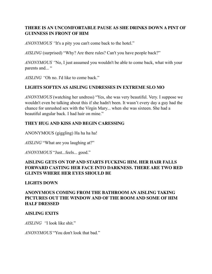# **THERE IS AN UNCOMFORTABLE PAUSE AS SHE DRINKS DOWN A PINT OF GUINNESS IN FRONT OF HIM**

*ANONYMOUS "*It's a pity you can't come back to the hotel."

*AISLING* (surprised) "Why? Are there rules? Can't you have people back?"

*ANONYMOUS "*No, I just assumed you wouldn't be able to come back, what with your parents and... "

*AISLING "*Oh no. I'd like to come back."

#### **LIGHTS SOFTEN AS AISLING UNDRESSES IN EXTREME SLO MO**

*ANONYMOUS* (watching her undress) "Yes, she was very beautiful. Very. I suppose we wouldn't even be talking about this if she hadn't been. It wasn't every day a guy had the chance for unrushed sex with the Virgin Mary... when she was sixteen. She had a beautiful angular back. I had hair on mine."

#### **THEY HUG AND KISS AND BEGIN CARESSING**

ANONYMOUS (giggling) Ha ha ha ha!

*AISLING* "What are you laughing at?"

*ANONYMOUS* "Just...feels... good."

# **AISLING GETS ON TOP AND STARTS FUCKING HIM. HER HAIR FALLS FORWARD CASTING HER FACE INTO DARKNESS. THERE ARE TWO RED GLINTS WHERE HER EYES SHOULD BE**

#### **LIGHTS DOWN**

# **ANONYMOUS COMING FROM THE BATHROOM AN AISLING TAKING PICTURES OUT THE WINDOW AND OF THE ROOM AND SOME OF HIM HALF DRESSED**

#### **AISLING EXITS**

*AISLING "*I look like shit."

*ANONYMOUS* "You don't look that bad."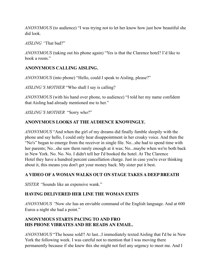*ANONYMOUS* (to audience) "I was trying not to let her know how just how beautiful she did look.

*AISLING "*That bad?"

*ANONYMOUS* (taking out his phone again) "Yes is that the Clarence hotel? I'd like to book a room."

# **ANONYMOUS CALLING AISLING.**

*ANONYMOUS* (into phone) "Hello, could I speak to Aisling, please?"

*AISLING'S MOTHER* "Who shall I say is calling?

*ANONYMOUS* (with his hand over phone, to audience) "I told her my name confident that Aisling had already mentioned me to her."

*AISLING'S MOTHER* "Sorry who?"

#### **ANONYMOUS LOOKS AT THE AUDIENCE KNOWINGLY.**

*ANONYMOUS* "And when the girl of my dreams did finally fumble sleepily with the phone and say hello, I could only hear disappointment in her croaky voice. And then the "No's" began to emerge from the receiver in single file. No...she had to spend time with her parents; No...she saw them rarely enough at it was; No...maybe when we're both back in New York. No. No. No. I didn't tell her I'd booked the hotel. At The Clarence Hotel they have a hundred percent cancellation charge. Just in case you're ever thinking about it, this means you don't get your money back. My sister put it best.

#### **A VIDEO OF A WOMAN WALKS OUT ON STAGE TAKES A DEEP BREATH**

*SISTER "*Sounds like an expensive wank."

#### **HAVING DELIVERED HER LINE THE WOMAN EXITS**

*ANONYMOUS "*Now *she* has an enviable command of the English language. And at 600 Euros a night she had a point."

# **ANONYMOUS STARTS PACING TO AND FRO HIS PHONE VIBRATES AND HE READS AN EMAIL.**

*ANONYMOUS* "The house sold!! At last...I immediately texted Aisling that I'd be in New York the following week. I was careful not to mention that I was moving there permanently because if she knew this she might not feel any urgency to meet me. And I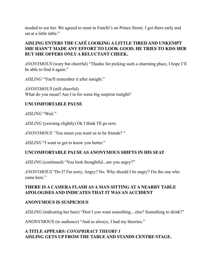needed to see her. We agreed to meet in Fanelli's on Prince Street. I got there early and sat at a little table."

# **AISLING ENTERS THE CAFÉ LOOKING A LITTLE TIRED AND UNKEMPT SHE HASN'T MADE ANY EFFORT TO LOOK GOOD. HE TRIES TO KISS HER BUT SHE OFFERS ONLY A RELUCTANT CHEEK.**

*ANONYMOUS* (wary but cheerful) "Thanks for picking such a charming place, I hope I'll be able to find it again."

*AISLING* "You'll remember it after tonight."

*ANONYMOUS* (still cheerful) What do you mean? Am I in for some big surprise tonight?

#### **UNCOMFORTABLE PAUSE**

*AISLING* "Wait."

*AISLING* (yawning slightly) Ok I think I'll go now.

*ANONYMOUS "*You mean you want us to be friends? "

*AISLING* "I want to get to know you better."

#### **UNCOMFORTABLE PAUSE AS ANONYMOUS SHIFTS IN HIS SEAT**

*AISLING* (continued) "You look thoughtful...are you angry?"

*ANONYMOUS* "Do I? I'm sorry. Angry? No. Why should I be angry? I'm the one who came here."

#### **THERE IS A CAMERA FLASH AS A MAN SITTING AT A NEARBY TABLE APOLOGISES AND INDICATES THAT IT WAS AN ACCIDENT**

#### **ANONYMOUS IS SUSPICIOUS**

*AISLING* (indicating her beer) "Don't you want something....else? Something to drink?"

ANONYMOUS (to audience) "And as always, I had my theories."

# **A TITLE APPEARS:** *CONSPRIRACY THEORY 1* **AISLING GETS UP FROM THE TABLE AND STANDS CENTRE STAGE.**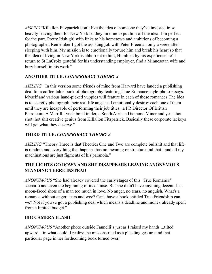*AISLING"*Killallon Fitzpatrick don't like the idea of someone they've invested in so heavily leaving them for New York so they hire me to put him off the idea. I'm perfect for the part. Pretty Irish girl with links to his hometown and ambitions of becoming a photographer. Remember I got the assisting job with Peter Freeman only a week after sleeping with him. My mission is to emotionally torture him and break his heart so that the idea of living in New York is abhorrent to him, Humbled by his experience he'll return to St LaCroix grateful for his understanding employer, find a Minnesotan wife and bury himself in his work."

# **ANOTHER TITLE:** *CONSPRIRACY THEORY 2*

*AISLING "*In this version some friends of mine from Harvard have landed a publishing deal for a coffee-table book of photography featuring True Romance-style-photo-essays. Myself and various hand-picked yuppies will feature in each of these romances.The idea is to secretly photograph their real-life angst as I emotionally destroy each one of them until they are incapable of performing their job titles...a PR Director Of British Petroleum, A Merrill Lynch bond trader, a South African Diamond Miner and yes a hotshot, hot shit creative genius from Killallon Fitzpatrick. Basically these corporate lackeys will get what they deserve."

# **THIRD TITLE:** *CONSPRIRACY THEORY 3*

*AISLING* "Theory Three is that Theories One and Two are complete bullshit and that life is random and everything that happens has no meaning or structure and that I and all my machinations are just figments of his paranoia."

# **THE LIGHTS GO DOWN AND SHE DISAPPEARS LEAVING ANONYMOUS STANDING THERE INSTEAD**

*ANONYMOUS* "She had already covered the early stages of this "True Romance" scenario and even the beginning of its demise. But she didn't have anything decent. Just moon-faced shots of a man too much in love. No anger, no tears, no anguish. What's a romance without anger, tears and woe? Can't have a book entitled True Friendship can we? Not if you've got a publishing deal which means a deadline and money already spent from a limited budget."

# **BIG CAMERA FLASH**

*ANONYMOUS* "Another photo outside Fannelli's just as I raised my hands ...tilted upward....in what could, I realize, be misconstrued as a pleading gesture and that particular page in her forthcoming book turned over."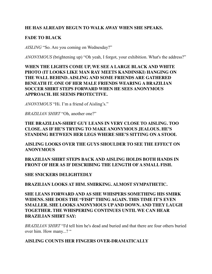#### **HE HAS ALREADY BEGUN TO WALK AWAY WHEN SHE SPEAKS.**

#### **FADE TO BLACK**

*AISLING* "So. Are you coming on Wednesday?"

*ANONYMOUS* (brightening up) "Oh yeah, I forgot, your exhibition. What's the address?"

**WHEN THE LIGHTS COME UP, WE SEE A LARGE BLACK AND WHITE PHOTO (IT LOOKS LIKE MAN RAY MEETS KANDINSKI) HANGING ON THE WALL BEHIND. AISLING AND SOME FRIENDS ARE GATHERED BENEATH IT. ONE OF HER MALE FRIENDS WEARING A BRAZILIAN SOCCER SHIRT STEPS FORWARD WHEN HE SEES ANONYMOUS APPROACH. HE SEEMS PROTECTIVE.** 

*ANONYMOUS* "Hi. I'm a friend of Aisling's."

*BRAZILIAN SHIRT* "Oh, another one?"

**THE BRAZILIAN-SHIRT GUY LEANS IN VERY CLOSE TO AISLING. TOO CLOSE. AS IF HE'S TRYING TO MAKE ANONYMOUS JEALOUS. HE'S STANDING BETWEEN HER LEGS WHERE SHE'S SITTING ON A STOOL** 

**AISLING LOOKS OVER THE GUYS SHOULDER TO SEE THE EFFECT ON ANONYMOUS** 

**BRAZILIAN SHIRT STEPS BACK AND AISLING HOLDS BOTH HANDS IN FRONT OF HER AS IF DESCRIBING THE LENGTH OF A SMALL FISH.** 

**SHE SNICKERS DELIGHTEDLY** 

**BRAZILIAN LOOKS AT HIM. SMIRKING. ALMOST SYMPATHETIC.** 

**SHE LEANS FORWARD AND AS SHE WHISPERS SOMETHING HIS SMIRK WIDENS. SHE DOES THE "FISH" THING AGAIN. THIS TIME IT'S EVEN SMALLER. SHE LOOKS ANONYMOUS UP AND DOWN. AND THEY LAUGH TOGETHER. THE WHISPERING CONTINUES UNTIL WE CAN HEAR BRAZILIAN SHIRT SAY:** 

*BRAZILIAN SHIRT* "I'd tell him he's dead and buried and that there are four others buried over him. How many...? "

#### **AISLING COUNTS HER FINGERS OVER-DRAMATICALLY**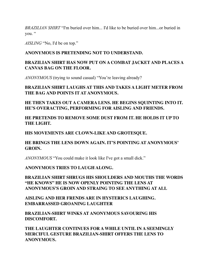*BRAZILIAN SHIRT* "I'm buried over him... I'd like to be buried over him...or buried in you. "

*AISLING* "No, I'd be on top."

#### **ANONYMOUS IS PRETENDING NOT TO UNDERSTAND.**

# **BRAZILIAN SHIRT HAS NOW PUT ON A COMBAT JACKET AND PLACES A CANVAS BAG ON THE FLOOR.**

*ANONYMOUS* (trying to sound casual) "You're leaving already?

#### **BRAZILIAN SHIRT LAUGHS AT THIS AND TAKES A LIGHT METER FROM THE BAG AND POINTS IT AT ANONYMOUS.**

**HE THEN TAKES OUT A CAMERA LENS. HE BEGINS SQUINTING INTO IT. HE'S OVERACTING, PERFORMING FOR AISLING AND FRIENDS.** 

# **HE PRETENDS TO REMOVE SOME DUST FROM IT. HE HOLDS IT UP TO THE LIGHT.**

**HIS MOVEMENTS ARE CLOWN-LIKE AND GROTESQUE.** 

# **HE BRINGS THE LENS DOWN AGAIN. IT'S POINTING AT ANONYMOUS' GROIN.**

*ANONYMOUS* "You could make it look like I've got a small dick."

# **ANONYMOUS TRIES TO LAUGH ALONG.**

**BRAZILIAN SHIRT SHRUGS HIS SHOULDERS AND MOUTHS THE WORDS "HE KNOWS" HE IS NOW OPENLY POINTING THE LENS AT ANONYMOUS'S GROIN AND STRAING TO SEE ANYTHING AT ALL** 

**AISLING AND HER FRENDS ARE IN HYSTERICS LAUGHING. EMBARRASSED GROANING LAUGHTER** 

**BRAZILIAN-SHIRT WINKS AT ANONYMOUS SAVOURING HIS DISCOMFORT.** 

**THE LAUGHTER CONTINUES FOR A WHILE UNTIL IN A SEEMINGLY MERCIFUL GESTURE BRAZILIAN-SHIRT OFFERS THE LENS TO ANONYMOUS.**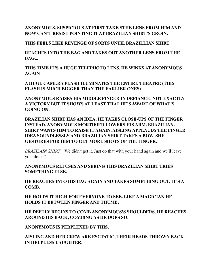**ANONYMOUS, SUSPICIOUS AT FIRST TAKE STHE LENS FROM HIM AND NOW CAN'T RESIST POINTING IT AT BRAZILIAN SHIRT'S GROIN.** 

**THIS FEELS LIKE REVENGE OF SORTS UNTIL BRAZILLIAN SHIRT** 

**REACHES INTO THE BAG AND TAKES OUT ANOTHER LENS FROM THE BAG...** 

**THIS TIME IT'S A HUGE TELEPHOTO LENS. HE WINKS AT ANONYMOUS AGAIN** 

**A HUGE CAMERA FLASH ILUMINATES THE ENTIRE THEATRE (THIS FLASH IS MUCH BIGGER THAN THE EARLIER ONES)** 

**ANONYMOUS RAISES HIS MIDDLE FINGER IN DEFIANCE. NOT EXACTLY A VICTORY BUT IT SHOWS AT LEAST THAT HE'S AWARE OF WHAT'S GOING ON.** 

**BRAZILIAN SHIRT HAS AN IDEA. HE TAKES CLOSE-UPS OF THE FINGER INSTEAD. ANONYMOUS MORTIFIED LOWERS HIS ARM. BRAZILIAN-SHIRT WANTS HIM TO RAISE IT AGAIN. AISLING APPLAUDS THE FINGER IDEA SOUNDLESSLY AND BRAZILIAN SHIRT TAKES A BOW. SHE GESTURES FOR HIM TO GET MORE SHOTS OF THE FINGER.** 

*BRAZILAIN SHIRT* "We didn't get it. Just do that with your hand again and we'll leave you alone."

**ANONYMOUS REFUSES AND SEEING THIS BRAZILIAN SHIRT TRIES SOMETHING ELSE.** 

**HE REACHES INTO HIS BAG AGAIN AND TAKES SOMETHING OUT. IT'S A COMB.** 

**HE HOLDS IT HIGH FOR EVERYONE TO SEE. LIKE A MAGICIAN HE HOLDS IT BETWEEN FINGER AND THUMB.** 

**HE DEFTLY BEGINS TO COMB ANONYMOUS'S SHOULDERS. HE REACHES AROUND HIS BACK, COMBING AS HE DOES SO.** 

**ANONYMOUS IS PERPLEXED BY THIS.** 

**AISLING AND HER CREW ARE ESCTATIC, THEIR HEADS THROWN BACK IN HELPLESS LAUGHTER.**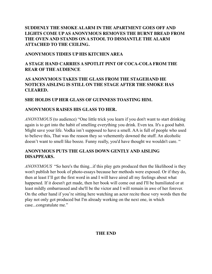# **SUDDENLY THE SMOKE ALARM IN THE APARTMENT GOES OFF AND LIGHTS COME UP AS ANONYMOUS REMOVES THE BURNT BREAD FROM THE OVEN AND STANDS ON A STOOL TO DISMANTLE THE ALARM ATTACHED TO THE CEILING.**

# **ANONYMOUS TIDIES UP HIS KITCHEN AREA**

# **A STAGE HAND CARRIES A SPOTLIT PINT OF COCA-COLA FROM THE REAR OF THE AUDIENCE**

# **AS ANONYMOUS TAKES THE GLASS FROM THE STAGEHAND HE NOTICES AISLING IS STILL ON THE STAGE AFTER THE SMOKE HAS CLEARED.**

#### **SHE HOLDS UP HER GLASS OF GUINNESS TOASTING HIM.**

#### **ANONYMOUS RAISES HIS GLASS TO HER.**

*ANONYMOUS* (to audience) "One little trick you learn if you don't want to start drinking again is to get into the habit of smelling everything you drink. Even tea. It's a good habit. Might save your life. Vodka isn't supposed to have a smell. AA is full of people who used to believe this, That was the reason they so vehemently downed the stuff. An alcoholic doesn't want to smell like booze. Funny really, you'd have thought we wouldn't care. "

#### **ANONYMOUS PUTS THE GLASS DOWN GENTLY AND AISLING DISAPPEARS.**

*ANONYMOUS* "So here's the thing...if this play gets produced then the likelihood is they won't publish her book of photo-essays because her methods were exposed. Or if they do, then at least I'll get the first word in and I will have aired all my feelings about what happened. If it doesn't get made, then her book will come out and I'll be humiliated or at least mildly embarrassed and she'll be the victor and I will remain in awe of her forever. On the other hand if you're sitting here watching an actor recite these very words then the play not only got produced but I'm already working on the next one, in which case...congratulate me."

#### **THE END**